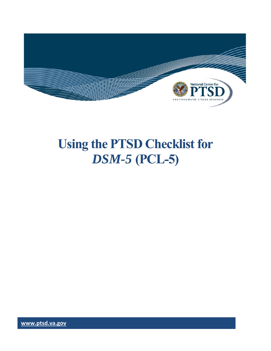

# **Using the PTSD Checklist for**  *DSM-5* **(PCL-5)**

**www.ptsd.va.gov www.ptsd.va.gov**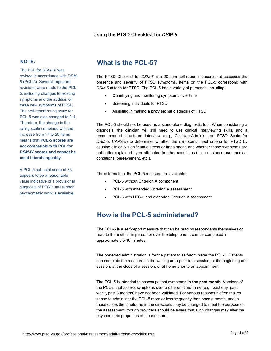#### **Using the PTSD Checklist for** *DSM-5*

#### **NOTE:**

The PCL for *DSM-IV* was revised in accordance with *DSM-5* (PCL-5). Several important revisions were made to the PCL-5, including changes to existing symptoms and the addition of three new symptoms of PTSD. The self-report rating scale for PCL-5 was also changed to 0-4. Therefore, the change in the rating scale combined with the increase from 17 to 20 items means that **PCL-5 scores are not compatible with PCL for**  *DSM-IV* **scores and cannot be used interchangeably.** 

A PCL-5 cut-point score of 33 appears to be a reasonable value indicative of a provisional diagnosis of PTSD until further psychometric work is available.

# **What is the PCL-5?**

 presence and severity of PTSD symptoms. Items on the PCL-5 correspond with The PTSD Checklist for *DSM-5* is a 20-item self-report measure that assesses the *DSM-5* criteria for PTSD. The PCL-5 has a variety of purposes, including:

- Quantifying and monitoring symptoms over time
- Screening individuals for PTSD
- Assisting in making a **provisional** diagnosis of PTSD

The PCL-5 should not be used as a stand-alone diagnostic tool. When considering a diagnosis, the clinician will still need to use clinical interviewing skills, and a recommended structured interview (e.g., Clinician-Administered PTSD Scale for *DSM-5*, CAPS-5) to determine: whether the symptoms meet criteria for PTSD by causing clinically significant distress or impairment, and whether those symptoms are not better explained by or attributed to other conditions (i.e., substance use, medical conditions, bereavement, etc.).

Three formats of the PCL-5 measure are available:

- PCL-5 without Criterion A component
- PCL-5 with extended Criterion A assessment
- PCL-5 with LEC-5 and extended Criterion A assessment

## **How is the PCL-5 administered?**

 read to them either in person or over the telephone. It can be completed in The PCL-5 is a self-report measure that can be read by respondents themselves or approximately 5-10 minutes.

The preferred administration is for the patient to self-administer the PCL-5. Patients can complete the measure: in the waiting area prior to a session, at the beginning of a session, at the close of a session, or at home prior to an appointment.

The PCL-5 is intended to assess patient symptoms **in the past month**. Versions of the PCL-5 that assess symptoms over a different timeframe (e.g., past day, past week, past 3 months) have not been validated. For various reasons it often makes sense to administer the PCL-5 more or less frequently than once a month, and in those cases the timeframe in the directions may be changed to meet the purpose of the assessment, though providers should be aware that such changes may alter the psychometric properties of the measure.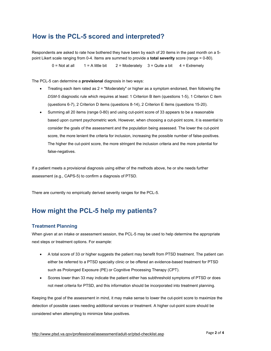## **How is the PCL-5 scored and interpreted?**

Respondents are asked to rate how bothered they have been by each of 20 items in the past month on a 5 point Likert scale ranging from 0-4. Items are summed to provide a **total severity** score (range = 0-80).

 $0 = Not at all$  1 = A little bit 2 = Moderately 3 = Quite a bit 4 = Extremely

The PCL-5 can determine a **provisional** diagnosis in two ways:

- Treating each item rated as 2 = "Moderately" or higher as a symptom endorsed, then following the *DSM-5* diagnostic rule which requires at least: 1 Criterion B item (questions 1-5), 1 Criterion C item (questions 6-7), 2 Criterion D items (questions 8-14), 2 Criterion E items (questions 15-20).
- Summing all 20 items (range 0-80) and using cut-point score of 33 appears to be a reasonable based upon current psychometric work. However, when choosing a cut-point score, it is essential to consider the goals of the assessment and the population being assessed. The lower the cut-point score, the more lenient the criteria for inclusion, increasing the possible number of false-positives. The higher the cut-point score, the more stringent the inclusion criteria and the more potential for false-negatives.

assessment (e.g., CAPS-5) to confirm a diagnosis of PTSD. If a patient meets a provisional diagnosis using either of the methods above, he or she needs further

There are currently no empirically derived severity ranges for the PCL-5.

## **How might the PCL-5 help my patients?**

#### **Treatment Planning**

When given at an intake or assessment session, the PCL-5 may be used to help determine the appropriate next steps or treatment options. For example:

- A total score of 33 or higher suggests the patient may benefit from PTSD treatment. The patient can either be referred to a PTSD specialty clinic or be offered an evidence-based treatment for PTSD such as Prolonged Exposure (PE) or Cognitive Processing Therapy (CPT).
- Scores lower than 33 may indicate the patient either has subthreshold symptoms of PTSD or does not meet criteria for PTSD, and this information should be incorporated into treatment planning.

Keeping the goal of the assessment in mind, it may make sense to lower the cut-point score to maximize the detection of possible cases needing additional services or treatment. A higher cut-point score should be considered when attempting to minimize false positives.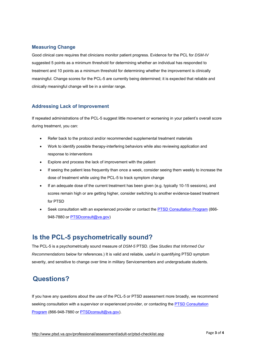#### **Measuring Change**

Good clinical care requires that clinicians monitor patient progress. Evidence for the PCL for *DSM-IV*  suggested 5 points as a minimum threshold for determining whether an individual has responded to treatment and 10 points as a minimum threshold for determining whether the improvement is clinically meaningful. Change scores for the PCL-5 are currently being determined; it is expected that reliable and clinically meaningful change will be in a similar range.

#### **Addressing Lack of Improvement**

If repeated administrations of the PCL-5 suggest little movement or worsening in your patient's overall score during treatment, you can:

- Refer back to the protocol and/or recommended supplemental treatment materials
- Work to identify possible therapy-interfering behaviors while also reviewing application and response to interventions
- Explore and process the lack of improvement with the patient
- If seeing the patient less frequently than once a week, consider seeing them weekly to increase the dose of treatment while using the PCL-5 to track symptom change
- If an adequate dose of the current treatment has been given (e.g. typically 10-15 sessions), and scores remain high or are getting higher, consider switching to another evidence-based treatment for PTSD
- Seek consultation with an experienced provider or contact the PTSD Consultation Program (866- 948-7880 or PTSDconsult@va.gov)

## **Is the PCL-5 psychometrically sound?**

The PCL-5 is a psychometrically sound measure of *DSM-5* PTSD. (See *Studies that Informed Our Recommendations* below for references.) It is valid and reliable, useful in quantifying PTSD symptom severity, and sensitive to change over time in military Servicemembers and undergraduate students.

## **Questions?**

If you have any questions about the use of the PCL-5 or PTSD assessment more broadly, we recommend seeking consultation with a supervisor or experienced provider, or contacting the PTSD Consultation Program (866-948-7880 or PTSDconsult@va.gov).